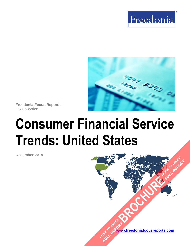



**Freedonia Focus Reports** US Collection

# **Consumer Financial Service Trends: United States**

**December 2018**

**[www.freedoniafocusreports.com](https://www.freedoniafocusreports.com/redirect.asp?progid=89534&url=/)** CLICK TO ORDER **FULL REPORT** 

**[BROCHURE](https://www.freedoniafocusreports.com/Consumer-Financial-Service-Trends-United-States-FF95068/?progid=89541) CLICK TO ORDER** 

**FULL REPORT**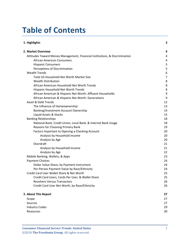## **Table of Contents**

| 1. Highlights                                                               | 3  |
|-----------------------------------------------------------------------------|----|
| 2. Market Overview                                                          | 4  |
| Attitudes Toward Money Management, Financial Institutions, & Discrimination | 4  |
| <b>African American Consumers</b>                                           | 4  |
| <b>Hispanic Consumers</b>                                                   | 5  |
| Perceptions of Discrimination                                               | 5  |
| <b>Wealth Trends</b>                                                        | 6  |
| Total US Household Net Worth Market Size                                    | 7  |
| <b>Wealth Distribution</b>                                                  | 8  |
| African American Household Net Worth Trends                                 | 8  |
| Hispanic Household Net Worth Trends                                         | 8  |
| African American & Hispanic Net Worth: Affluent Households                  | 9  |
| African American & Hispanic Net Worth: Generations                          | 9  |
| Asset & Debt Trends                                                         | 12 |
| The Influence of Homeownership                                              | 13 |
| Banking/Investment Account Ownership                                        | 14 |
| Liquid Assets & Stocks                                                      | 15 |
| <b>Banking Relationships</b>                                                | 18 |
| National Bank, Credit Union, Local Bank, & Internet Bank Usage              | 18 |
| Reasons for Choosing Primary Bank                                           | 19 |
| Factors Important to Opening a Checking Account                             | 20 |
| Analysis by Household Income                                                | 20 |
| Analysis by Age                                                             | 20 |
| Overdraft                                                                   | 21 |
| Analysis by Household Income                                                | 21 |
| Analysis by Age                                                             | 22 |
| Mobile Banking, Wallets, & Apps                                             | 23 |
| <b>Payment Choices</b>                                                      | 24 |
| Dollar Value Share, by Payment Instrument                                   | 24 |
| Per-Person Payment Value by Race/Ethnicity                                  | 24 |
| Credit Card User Wallet Share & Net Worth                                   | 25 |
| Credit Card Users, Cards Per User, & Wallet Share                           | 25 |
| <b>Revolvers Versus Transactors</b>                                         | 26 |
| Credit Card User Net Worth, by Race/Ethnicity                               | 26 |
| 3. About This Report                                                        | 27 |
| Scope                                                                       | 27 |
| Sources                                                                     | 27 |
| <b>Industry Codes</b>                                                       | 29 |
| Resources                                                                   | 30 |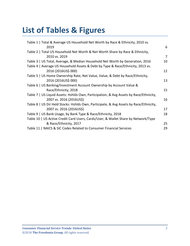# **List of Tables & Figures**

| Table 1   Total & Average US Household Net Worth by Race & Ethnicity, 2010 vs.         |    |
|----------------------------------------------------------------------------------------|----|
| 2019                                                                                   | 6  |
| Table 2   Total US Household Net Worth & Net Worth Share by Race & Ethnicity,          |    |
| 2010 vs. 2019                                                                          | 7  |
| Table 3   US Total, Average, & Median Household Net Worth by Generation, 2016          | 10 |
| Table 4   Average US Household Assets & Debt by Type & Race/Ethnicity, 2013 vs.        |    |
| 2016 (2016US\$ 000)                                                                    | 12 |
| Table 5   US Home Ownership Rate, Net Value, Value, & Debt by Race/Ethnicity,          |    |
| 2016 (2016US\$ 000)                                                                    | 13 |
| Table 6   US Banking/Investment Account Ownership by Account Value &                   |    |
| Race/Ethnicity, 2018                                                                   | 15 |
| Table 7   US Liquid Assets: Hshlds Own, Participation, & Avg Assets by Race/Ethnicity, |    |
| 2007 vs. 2016 (2016US\$)                                                               | 16 |
| Table 8   US Dir Held Stocks: Hshlds Own, Participate, & Avg Assets by Race/Ethnicity, |    |
| 2007 vs. 2016 (2016US\$)                                                               | 17 |
| Table 9   US Bank Usage, by Bank Type & Race/Ethnicity, 2018                           | 18 |
| Table 10   US Active Credit Card Users, Cards/User, & Wallet Share by Network/Type     |    |
| & Race/Ethnicity, 2017                                                                 | 25 |
| Table 11   NAICS & SIC Codes Related to Consumer Financial Services                    | 29 |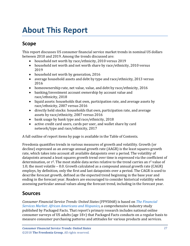# <span id="page-3-0"></span>**About This Report**

## <span id="page-3-1"></span>**Scope**

This report discusses US consumer financial service market trends in nominal US dollars between 2010 and 2019. Among the trends discussed are:

- household net worth by race/ethnicity, 2010 versus 2019
- household net worth and net worth share by race/ethnicity, 2010 versus 2019
- household net worth by generation, 2016<br>• average household assets and debt by type
- average household assets and debt by type and race/ethnicity, 2013 versus 2016
- homeownership rate, net value, value, and debt by race/ethnicity, 2016
- banking/investment account ownership by account value and race/ethnicity, 2018
- liquid assets: households that own, participation rate, and average assets by race/ethnicity, 2007 versus 2016
- directly held stocks: households that own, participation rate, and average assets by race/ethnicity, 2007 versus 2016
- bank usage by bank type and race/ethnicity, 2018
- active credit card users, cards per user, and wallet share by card network/type and race/ethnicity, 2017

A full outline of report items by page is available in the Table of Contents.

Freedonia quantifies trends in various measures of growth and volatility. Growth (or decline) expressed as an average annual growth rate (AAGR) is the least squares growth rate, which takes into account all available datapoints over a period. The volatility of datapoints around a least squares growth trend over time is expressed via the coefficient of determination, or r<sup>2</sup>. The most stable data series relative to the trend carries an r<sup>2</sup> value of 1.0; the most volatile – 0.0. Growth calculated as a compound annual growth rate (CAGR) employs, by definition, only the first and last datapoints over a period. The CAGR is used to describe forecast growth, defined as the expected trend beginning in the base year and ending in the forecast year. Readers are encouraged to consider historical volatility when assessing particular annual values along the forecast trend, including in the forecast year.

## <span id="page-3-2"></span>**Sources**

*Consumer Financial Service Trends: United States* (FF95068) is based on *[The Financial](https://www.packagedfacts.com/Financial-Services-African-Americans-Hispanics-12082580/?progid=89534)  [Services Market: African Americans and Hispanics,](https://www.packagedfacts.com/Financial-Services-African-Americans-Hispanics-12082580/?progid=89534)* a comprehensive industry study published by Packaged Facts. That report's primary research includes national online consumer surveys of US adults (age 18+) that Packaged Facts conducts on a regular basis to measure consumer purchasing patterns and attitudes for various products and services.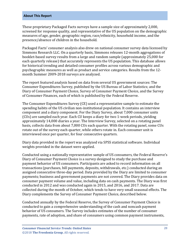#### **About This Report**

These proprietary Packaged Facts surveys have a sample size of approximately 2,000, screened for response quality, and representative of the US population on the demographic measures of age, gender, geographic region, race/ethnicity, household income, and the presence/absence of children in the household.

Packaged Facts' consumer analysis also drew on national consumer survey data licensed by Simmons Research LLC. On a quarterly basis, Simmons releases 12-month aggregations of booklet-based survey results from a large and random sample (approximately 25,000 for each quarterly release) that accurately represents the US population. This database allows for historical trending and detailed consumer profiles across various demographic and psychographic measures as well as product and service categories. Results from the 12 month Summer 2009-2018 surveys are analyzed.

The report featured analysis based on data from several US government sources: The Consumer Expenditures Survey, published by the US Bureau of Labor Statistics; and the Diary of Consumer Payment Choice, Survey of Consumer Payment Choice, and the Survey of Consumer Finances, each of which is published by the Federal Reserve.

The Consumer Expenditures Survey (CE) used a representative sample to estimate the spending habits of the US civilian non-institutional population. It contains an interview component and a diary component. For the Diary Survey, about 7,000 consumer units (CUs) are sampled each year. Each CU keeps a diary for two 1-week periods, yielding approximately 14,000 diaries a year. The Interview Survey, selected on a rotating panel basis, collects data from about 7,000 CUs each quarter. With the rotating panel, some CUs rotate out of the survey each quarter, while others rotate in. Each consumer unit is interviewed once per quarter, for four consecutive quarters.

Diary data provided in the report was analyzed via SPSS statistical software. Individual weights provided in the dataset were applied.

Conducted using a nationally representative sample of US consumers, the Federal Reserve's Diary of Consumer Payment Choice is a survey designed to study the purchase and payment behavior of US consumers. Participants are asked to record information on all transactions (purchases, bill payments, deposits, withdrawals, etc.) conducted during an assigned consecutive three-day period. Data provided by the Diary are limited to consumer payments; business and government payments are not covered. The Diary provides data on consumer payment volume and value, including data on cash payments. The Diary was first conducted in 2012 and was conducted again in 2015, and 2016, and 2017. Data are collected during the month of October, which tends to have very small seasonal effects. The Diary complements the Survey of Consumer Payment Choice, described below.

Conducted annually by the Federal Reserve, the Survey of Consumer Payment Choice is conducted to gain a comprehensive understanding of the cash and noncash payment behavior of US consumers. The Survey includes estimates of the number of consumer payments, rate of adoption, and share of consumers using common payment instruments,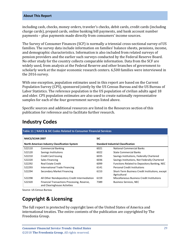#### **About This Report**

including cash, checks, money orders, traveler's checks, debit cards, credit cards (including charge cards), prepaid cards, online banking bill payments, and bank account number payments – plus payments made directly from consumers' income sources.

The Survey of Consumer Finances (SCF) is normally a triennial cross-sectional survey of US families. The survey data include information on families' balance sheets, pensions, income, and demographic characteristics. Information is also included from related surveys of pension providers and the earlier such surveys conducted by the Federal Reserve Board. No other study for the country collects comparable information. Data from the SCF are widely used, from analysis at the Federal Reserve and other branches of government to scholarly work at the major economic research centers. 6,500 families were interviewed in the 2016 survey.

With one exception, population estimates used in this report are based on the Current Population Survey (CPS), sponsored jointly by the US Census Bureau and the US Bureau of Labor Statistics. The reference population is the US population of civilian adults aged 18 and older. CPS population estimates are also used to create nationally representative samples for each of the four government surveys listed above.

Specific sources and additional resources are listed in the Resources section of this publication for reference and to facilitate further research.

<span id="page-5-1"></span>

| Table 11   NAICS & SIC Codes Related to Consumer Financial Services             |                                                                             |                                           |                                                                 |  |  |
|---------------------------------------------------------------------------------|-----------------------------------------------------------------------------|-------------------------------------------|-----------------------------------------------------------------|--|--|
| <b>NAICS/SCIAN 2007</b><br><b>North American Industry Classification System</b> |                                                                             | <b>SIC</b>                                |                                                                 |  |  |
|                                                                                 |                                                                             | <b>Standard Industrial Classification</b> |                                                                 |  |  |
| 522110                                                                          | <b>Commercial Banking</b>                                                   | 6021                                      | National Commercial Banks                                       |  |  |
| 522120                                                                          | Savings Institutions                                                        | 6022                                      | State Commercial Banks                                          |  |  |
| 522210                                                                          | <b>Credit Card Issuing</b>                                                  | 6035                                      | Savings Institutions, Federally Chartered                       |  |  |
| 522220                                                                          | Sales Financing                                                             | 6036                                      | Savings Institutions, Not Federally Chartered                   |  |  |
| 522292                                                                          | <b>Real Estate Credit</b>                                                   | 6099                                      | Functions Related to Depository Banking, NEC                    |  |  |
| 522293                                                                          | International Trade Financing                                               | 6141                                      | <b>Personal Credit Institutions</b>                             |  |  |
| 522294                                                                          | Secondary Market Financing                                                  | 6153                                      | Short-Term Business Credit Institutions, except<br>Agricultural |  |  |
| 522298                                                                          | All Other Nondepository Credit Intermediation                               | 6159                                      | Miscellaneous Business Credit Institutions                      |  |  |
| 522320                                                                          | Financial Transactions Processing, Reserve,<br>and Clearinghouse Activities | 7389                                      | <b>Business Services, NEC</b>                                   |  |  |

## <span id="page-5-0"></span>**Industry Codes**

Source: US Census Bureau

## **Copyright & Licensing**

The full report is protected by copyright laws of the United States of America and international treaties. The entire contents of the publication are copyrighted by The Freedonia Group.